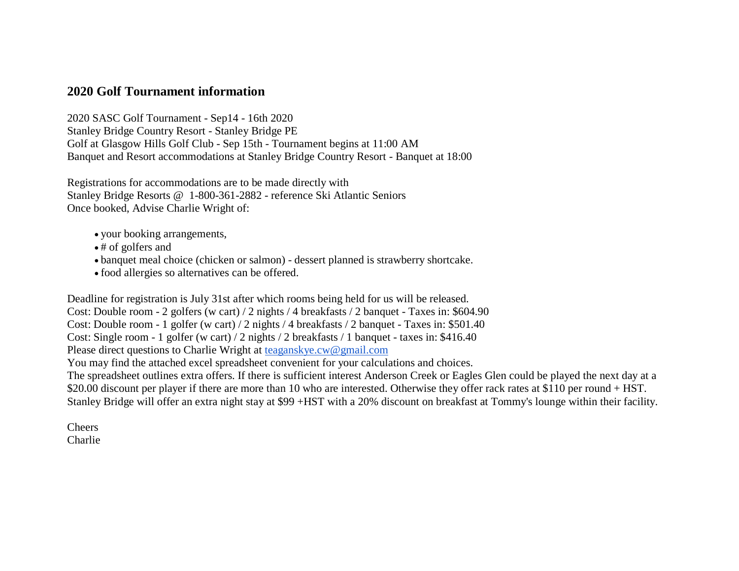## **2020 Golf Tournament information**

2020 SASC Golf Tournament - Sep14 - 16th 2020 Stanley Bridge Country Resort - Stanley Bridge PE Golf at Glasgow Hills Golf Club - Sep 15th - Tournament begins at 11:00 AM Banquet and Resort accommodations at Stanley Bridge Country Resort - Banquet at 18:00

Registrations for accommodations are to be made directly with Stanley Bridge Resorts @ 1-800-361-2882 - reference Ski Atlantic Seniors Once booked, Advise Charlie Wright of:

- your booking arrangements,
- # of golfers and
- banquet meal choice (chicken or salmon) dessert planned is strawberry shortcake.
- food allergies so alternatives can be offered.

Deadline for registration is July 31st after which rooms being held for us will be released. Cost: Double room - 2 golfers (w cart) / 2 nights / 4 breakfasts / 2 banquet - Taxes in: \$604.90 Cost: Double room - 1 golfer (w cart) / 2 nights / 4 breakfasts / 2 banquet - Taxes in: \$501.40 Cost: Single room - 1 golfer (w cart) / 2 nights / 2 breakfasts / 1 banquet - taxes in: \$416.40 Please direct questions to Charlie Wright at [teaganskye.cw@gmail.com](mailto:teaganskye.cw@gmail.com) You may find the attached excel spreadsheet convenient for your calculations and choices.

The spreadsheet outlines extra offers. If there is sufficient interest Anderson Creek or Eagles Glen could be played the next day at a \$20.00 discount per player if there are more than 10 who are interested. Otherwise they offer rack rates at \$110 per round + HST. Stanley Bridge will offer an extra night stay at \$99 +HST with a 20% discount on breakfast at Tommy's lounge within their facility.

Cheers Charlie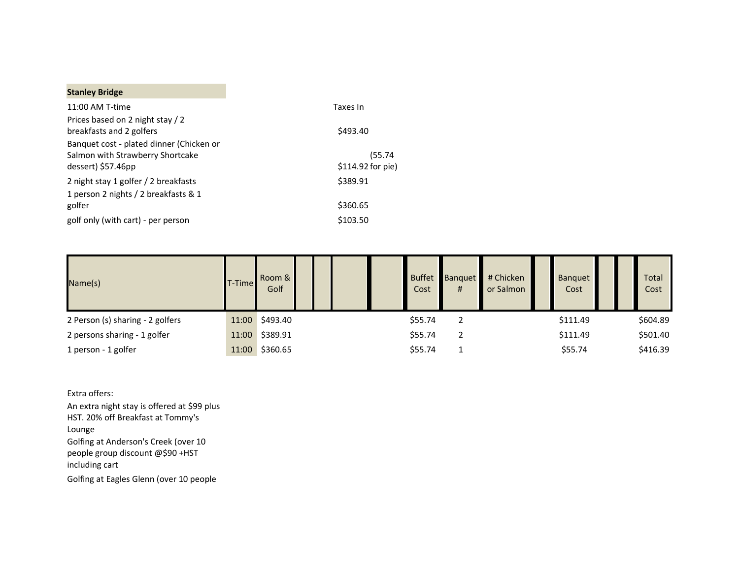## **Stanley Bridge**

| 11:00 AM T-time                                              | Taxes In           |  |  |  |  |  |
|--------------------------------------------------------------|--------------------|--|--|--|--|--|
| Prices based on 2 night stay / 2<br>breakfasts and 2 golfers | \$493.40           |  |  |  |  |  |
| Banquet cost - plated dinner (Chicken or                     |                    |  |  |  |  |  |
| Salmon with Strawberry Shortcake                             | (55.74             |  |  |  |  |  |
| dessert) \$57.46pp                                           | $$114.92$ for pie) |  |  |  |  |  |
| 2 night stay 1 golfer / 2 breakfasts                         | \$389.91           |  |  |  |  |  |
| 1 person 2 nights / 2 breakfasts & 1                         |                    |  |  |  |  |  |
| golfer                                                       | \$360.65           |  |  |  |  |  |
| golf only (with cart) - per person                           | \$103.50           |  |  |  |  |  |

| Name(s)                          | T-Time | Room &<br>Golf |  | <b>Buffet</b><br>Cost | <b>Banquet</b><br># | # Chicken<br>or Salmon | Banquet<br>Cost |  | Total<br>Cost |
|----------------------------------|--------|----------------|--|-----------------------|---------------------|------------------------|-----------------|--|---------------|
| 2 Person (s) sharing - 2 golfers |        | 11:00 \$493.40 |  | \$55.74               | 2                   |                        | \$111.49        |  | \$604.89      |
| 2 persons sharing - 1 golfer     |        | 11:00 \$389.91 |  | \$55.74               | 2                   |                        | \$111.49        |  | \$501.40      |
| 1 person - 1 golfer              |        | 11:00 \$360.65 |  | \$55.74               |                     |                        | \$55.74         |  | \$416.39      |

Extra offers:

An extra night stay is offered at \$99 plus HST. 20% off Breakfast at Tommy's Lounge Golfing at Anderson's Creek (over 10 people group discount @\$90 +HST including cart

Golfing at Eagles Glenn (over 10 people